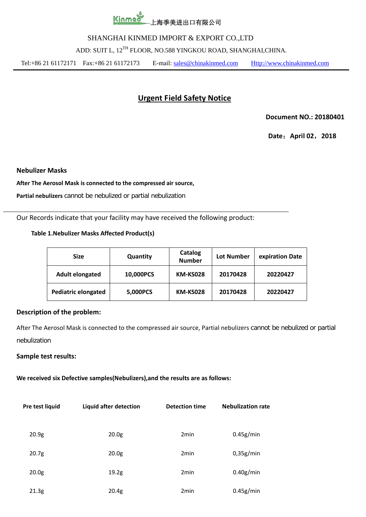# Kinmed 上海季美进出口有限公司

# SHANGHAI KINMED IMPORT & EXPORT CO.,LTD

ADD: SUIT L, 12<sup>TH</sup> FLOOR, NO.588 YINGKOU ROAD, SHANGHAI,CHINA.

Tel:+86 21 61172171 Fax:+86 21 61172173 E-mail: sales@chinakinmed.com Http://www.chinakinmed.com

# **Urgent Field Safety Notice**

 **Document NO.: 20180401**

**Date**:**April 02**,**2018**

**Nebulizer Masks**

**After The Aerosol Mask is connected to the compressed air source,** 

Partial nebulizers cannot be nebulized or partial nebulization

Our Records indicate that your facility may have received the following product:

# **Table 1.Nebulizer Masks Affected Product(s)**

| <b>Size</b>                | Quantity  | Catalog<br><b>Number</b> | <b>Lot Number</b> | expiration Date |
|----------------------------|-----------|--------------------------|-------------------|-----------------|
| <b>Adult elongated</b>     | 10,000PCS | <b>KM-KS028</b>          | 20170428          | 20220427        |
| <b>Pediatric elongated</b> | 5,000PCS  | <b>KM-KS028</b>          | 20170428          | 20220427        |

# **Description of the problem:**

After The Aerosol Mask is connected to the compressed air source, Partial nebulizers cannot be nebulized or partial nebulization

#### **Sample test results:**

**We received six Defective samples(Nebulizers),and the results are as follows:**

| Pre test liquid   | <b>Liquid after detection</b> | <b>Detection time</b> | <b>Nebulization rate</b> |  |
|-------------------|-------------------------------|-----------------------|--------------------------|--|
| 20.9 <sub>g</sub> | 20.0 <sub>g</sub>             | 2 <sub>min</sub>      | 0.45g/min                |  |
| 20.7 <sub>g</sub> | 20.0 <sub>g</sub>             | 2 <sub>min</sub>      | 0,35g/min                |  |
| 20.0 <sub>g</sub> | 19.2 <sub>g</sub>             | 2 <sub>min</sub>      | $0.40$ g/min             |  |
| 21.3g             | 20.4g                         | 2 <sub>min</sub>      | 0.45g/min                |  |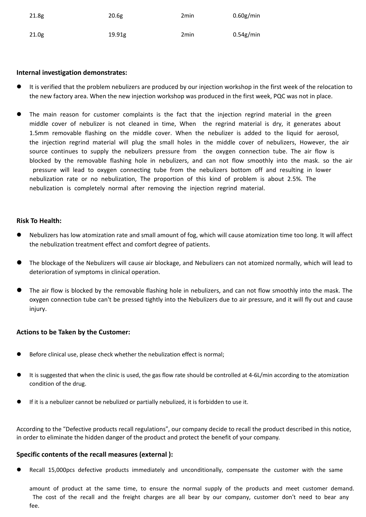| 21.8g             | 20.6 <sub>g</sub> | 2 <sub>min</sub> | 0.60g/min |
|-------------------|-------------------|------------------|-----------|
| 21.0 <sub>g</sub> | 19.91g            | 2 <sub>min</sub> | 0.54g/min |

#### **Internal investigation demonstrates:**

- It is verified that the problem nebulizers are produced by our injection workshop in the first week of the relocation to the new factory area. When the new injection workshop was produced in the first week, PQC was not in place.
- The main reason for customer complaints is the fact that the injection regrind material in the green middle cover of nebulizer is not cleaned in time, When the regrind material is dry, it generates about 1.5mm removable flashing on the middle cover. When the nebulizer is added to the liquid for aerosol, the injection regrind material will plug the small holes in the middle cover of nebulizers, However, the air source continues to supply the nebulizers pressure from the oxygen connection tube. The air flow is blocked by the removable flashing hole in nebulizers, and can not flow smoothly into the mask. so the air pressure will lead to oxygen connecting tube from the nebulizers bottom off and resulting in lower nebulization rate or no nebulization, The proportion of this kind of problem is about 2.5%. The nebulization is completely normal after removing the injection regrind material.

#### **Risk To Health:**

- Nebulizers has low atomization rate and small amount of fog, which will cause atomization time too long. It will affect the nebulization treatment effect and comfort degree of patients.
- The blockage of the Nebulizers will cause air blockage, and Nebulizers can not atomized normally, which will lead to deterioration of symptoms in clinical operation.
- The air flow is blocked by the removable flashing hole in nebulizers, and can not flow smoothly into the mask. The oxygen connection tube can't be pressed tightly into the Nebulizers due to air pressure, and it will fly out and cause injury.

# **Actions to be Taken by the Customer:**

- Before clinical use, please check whether the nebulization effect is normal;
- It is suggested that when the clinic is used, the gas flow rate should be controlled at 4‐6L/min according to the atomization condition of the drug.
- If it is a nebulizer cannot be nebulized or partially nebulized, it is forbidden to use it.

According to the "Defective products recall regulations", our company decide to recall the product described in this notice, in order to eliminate the hidden danger of the product and protect the benefit of your company.

#### **Specific contents of the recall measures (external ):**

Recall 15,000pcs defective products immediately and unconditionally, compensate the customer with the same

amount of product at the same time, to ensure the normal supply of the products and meet customer demand. The cost of the recall and the freight charges are all bear by our company, customer don't need to bear any fee.